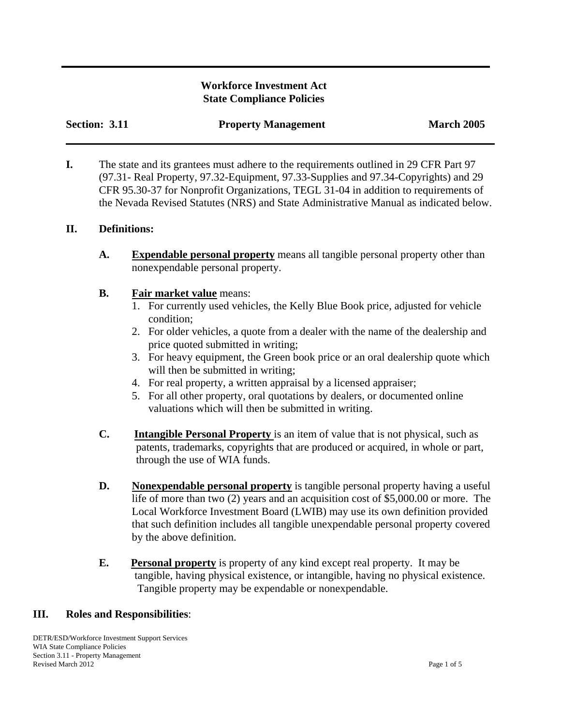## **Workforce Investment Act State Compliance Policies**

| Section: 3.11 | <b>Property Management</b> | <b>March 2005</b> |
|---------------|----------------------------|-------------------|
|               |                            |                   |

**I.** The state and its grantees must adhere to the requirements outlined in 29 CFR Part 97 (97.31- Real Property, 97.32-Equipment, 97.33-Supplies and 97.34-Copyrights) and 29 CFR 95.30-37 for Nonprofit Organizations, TEGL 31-04 in addition to requirements of the Nevada Revised Statutes (NRS) and State Administrative Manual as indicated below.

## **II. Definitions:**

**A. Expendable personal property** means all tangible personal property other than nonexpendable personal property.

## **B. Fair market value** means:

- 1. For currently used vehicles, the Kelly Blue Book price, adjusted for vehicle condition;
- 2. For older vehicles, a quote from a dealer with the name of the dealership and price quoted submitted in writing;
- 3. For heavy equipment, the Green book price or an oral dealership quote which will then be submitted in writing;
- 4. For real property, a written appraisal by a licensed appraiser;
- 5. For all other property, oral quotations by dealers, or documented online valuations which will then be submitted in writing.
- **C. Intangible Personal Property** is an item of value that is not physical, such as patents, trademarks, copyrights that are produced or acquired, in whole or part, through the use of WIA funds.
- **D.** Nonexpendable personal property is tangible personal property having a useful life of more than two (2) years and an acquisition cost of \$5,000.00 or more. The Local Workforce Investment Board (LWIB) may use its own definition provided that such definition includes all tangible unexpendable personal property covered by the above definition.
- **E. Personal property** is property of any kind except real property. It may be tangible, having physical existence, or intangible, having no physical existence. Tangible property may be expendable or nonexpendable.

## **III. Roles and Responsibilities**:

DETR/ESD/Workforce Investment Support Services WIA State Compliance Policies Section 3.11 - Property Management Revised March 2012 Page 1 of 5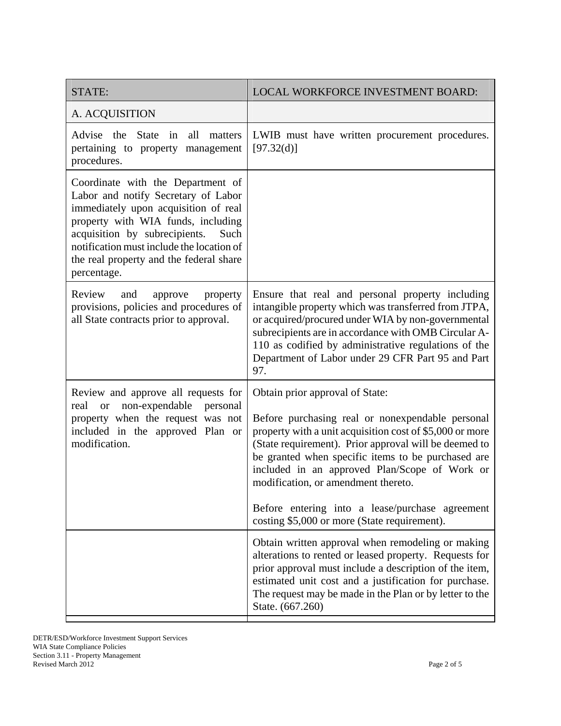| STATE:                                                                                                                                                                                                                                                                                                 | LOCAL WORKFORCE INVESTMENT BOARD:                                                                                                                                                                                                                                                                                                                                                                                                                         |
|--------------------------------------------------------------------------------------------------------------------------------------------------------------------------------------------------------------------------------------------------------------------------------------------------------|-----------------------------------------------------------------------------------------------------------------------------------------------------------------------------------------------------------------------------------------------------------------------------------------------------------------------------------------------------------------------------------------------------------------------------------------------------------|
| A. ACQUISITION                                                                                                                                                                                                                                                                                         |                                                                                                                                                                                                                                                                                                                                                                                                                                                           |
| the<br>all<br>Advise<br><b>State</b><br>in<br>matters<br>pertaining to property management<br>procedures.                                                                                                                                                                                              | LWIB must have written procurement procedures.<br>[97.32(d)]                                                                                                                                                                                                                                                                                                                                                                                              |
| Coordinate with the Department of<br>Labor and notify Secretary of Labor<br>immediately upon acquisition of real<br>property with WIA funds, including<br>acquisition by subrecipients.<br>Such<br>notification must include the location of<br>the real property and the federal share<br>percentage. |                                                                                                                                                                                                                                                                                                                                                                                                                                                           |
| Review<br>and<br>approve<br>property<br>provisions, policies and procedures of<br>all State contracts prior to approval.                                                                                                                                                                               | Ensure that real and personal property including<br>intangible property which was transferred from JTPA,<br>or acquired/procured under WIA by non-governmental<br>subrecipients are in accordance with OMB Circular A-<br>110 as codified by administrative regulations of the<br>Department of Labor under 29 CFR Part 95 and Part<br>97.                                                                                                                |
| Review and approve all requests for<br>non-expendable<br>personal<br>real<br><b>or</b><br>property when the request was not<br>included in the approved Plan or<br>modification.                                                                                                                       | Obtain prior approval of State:<br>Before purchasing real or nonexpendable personal<br>property with a unit acquisition cost of \$5,000 or more<br>(State requirement). Prior approval will be deemed to<br>be granted when specific items to be purchased are<br>included in an approved Plan/Scope of Work or<br>modification, or amendment thereto.<br>Before entering into a lease/purchase agreement<br>costing \$5,000 or more (State requirement). |
|                                                                                                                                                                                                                                                                                                        | Obtain written approval when remodeling or making<br>alterations to rented or leased property. Requests for<br>prior approval must include a description of the item,<br>estimated unit cost and a justification for purchase.<br>The request may be made in the Plan or by letter to the<br>State. (667.260)                                                                                                                                             |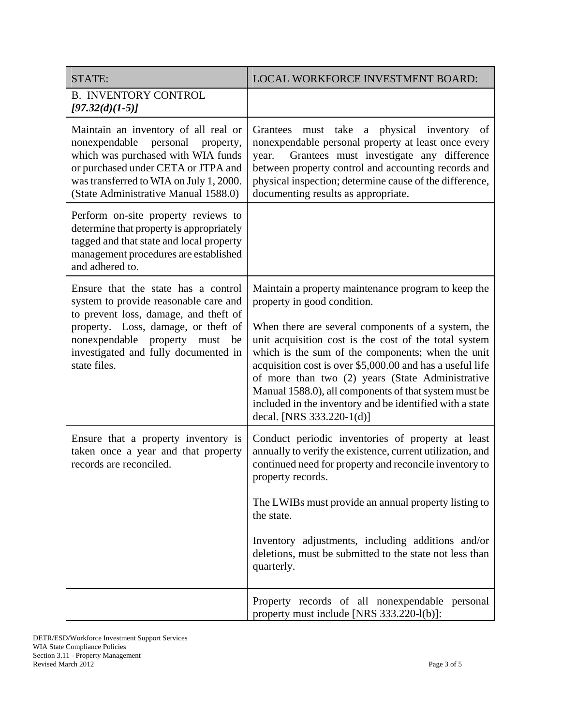| STATE:                                                                                                                                                                                                                                         | LOCAL WORKFORCE INVESTMENT BOARD:                                                                                                                                                                                                                                                                                                                                                                                                   |
|------------------------------------------------------------------------------------------------------------------------------------------------------------------------------------------------------------------------------------------------|-------------------------------------------------------------------------------------------------------------------------------------------------------------------------------------------------------------------------------------------------------------------------------------------------------------------------------------------------------------------------------------------------------------------------------------|
| <b>B. INVENTORY CONTROL</b><br>$[97.32(d)(1-5)]$                                                                                                                                                                                               |                                                                                                                                                                                                                                                                                                                                                                                                                                     |
| Maintain an inventory of all real or<br>personal<br>nonexpendable<br>property,<br>which was purchased with WIA funds<br>or purchased under CETA or JTPA and<br>was transferred to WIA on July 1, 2000.<br>(State Administrative Manual 1588.0) | Grantees must take a physical inventory of<br>nonexpendable personal property at least once every<br>Grantees must investigate any difference<br>year.<br>between property control and accounting records and<br>physical inspection; determine cause of the difference,<br>documenting results as appropriate.                                                                                                                     |
| Perform on-site property reviews to<br>determine that property is appropriately<br>tagged and that state and local property<br>management procedures are established<br>and adhered to.                                                        |                                                                                                                                                                                                                                                                                                                                                                                                                                     |
| Ensure that the state has a control<br>system to provide reasonable care and                                                                                                                                                                   | Maintain a property maintenance program to keep the<br>property in good condition.                                                                                                                                                                                                                                                                                                                                                  |
| to prevent loss, damage, and theft of<br>property. Loss, damage, or theft of<br>nonexpendable property must<br>be<br>investigated and fully documented in<br>state files.                                                                      | When there are several components of a system, the<br>unit acquisition cost is the cost of the total system<br>which is the sum of the components; when the unit<br>acquisition cost is over \$5,000.00 and has a useful life<br>of more than two (2) years (State Administrative<br>Manual 1588.0), all components of that system must be<br>included in the inventory and be identified with a state<br>decal. [NRS 333.220-1(d)] |
| Ensure that a property inventory is<br>taken once a year and that property<br>records are reconciled.                                                                                                                                          | Conduct periodic inventories of property at least<br>annually to verify the existence, current utilization, and<br>continued need for property and reconcile inventory to<br>property records.                                                                                                                                                                                                                                      |
|                                                                                                                                                                                                                                                | The LWIBs must provide an annual property listing to<br>the state.                                                                                                                                                                                                                                                                                                                                                                  |
|                                                                                                                                                                                                                                                | Inventory adjustments, including additions and/or<br>deletions, must be submitted to the state not less than<br>quarterly.                                                                                                                                                                                                                                                                                                          |
|                                                                                                                                                                                                                                                | Property records of all nonexpendable personal<br>property must include [NRS 333.220-l(b)]:                                                                                                                                                                                                                                                                                                                                         |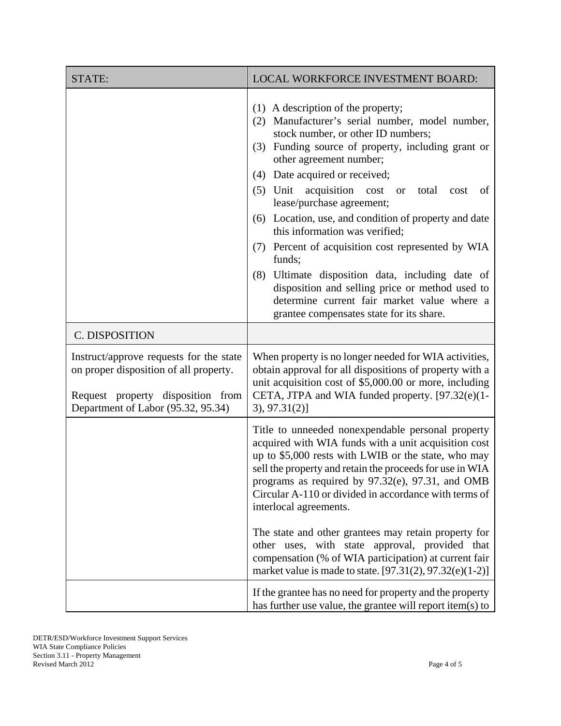| STATE:                                                                                                                                                       | LOCAL WORKFORCE INVESTMENT BOARD:                                                                                                                                                                                                                                                                                                                                                                                                                                                                                                                                                                                                                                                                                    |  |
|--------------------------------------------------------------------------------------------------------------------------------------------------------------|----------------------------------------------------------------------------------------------------------------------------------------------------------------------------------------------------------------------------------------------------------------------------------------------------------------------------------------------------------------------------------------------------------------------------------------------------------------------------------------------------------------------------------------------------------------------------------------------------------------------------------------------------------------------------------------------------------------------|--|
|                                                                                                                                                              | $(1)$ A description of the property;<br>(2) Manufacturer's serial number, model number,<br>stock number, or other ID numbers;<br>Funding source of property, including grant or<br>(3)<br>other agreement number;<br>Date acquired or received;<br>(4)<br>(5) Unit acquisition cost<br>total<br><b>or</b><br>cost<br>of<br>lease/purchase agreement;<br>(6) Location, use, and condition of property and date<br>this information was verified;<br>(7) Percent of acquisition cost represented by WIA<br>funds;<br>Ultimate disposition data, including date of<br>(8)<br>disposition and selling price or method used to<br>determine current fair market value where a<br>grantee compensates state for its share. |  |
| C. DISPOSITION                                                                                                                                               |                                                                                                                                                                                                                                                                                                                                                                                                                                                                                                                                                                                                                                                                                                                      |  |
| Instruct/approve requests for the state<br>on proper disposition of all property.<br>Request property disposition from<br>Department of Labor (95.32, 95.34) | When property is no longer needed for WIA activities,<br>obtain approval for all dispositions of property with a<br>unit acquisition cost of \$5,000.00 or more, including<br>CETA, JTPA and WIA funded property. [97.32(e)(1-<br>3, 97.31(2)<br>Title to unneeded nonexpendable personal property<br>acquired with WIA funds with a unit acquisition cost<br>up to \$5,000 rests with LWIB or the state, who may<br>sell the property and retain the proceeds for use in WIA<br>programs as required by 97.32(e), 97.31, and OMB<br>Circular A-110 or divided in accordance with terms of<br>interlocal agreements.                                                                                                 |  |
|                                                                                                                                                              |                                                                                                                                                                                                                                                                                                                                                                                                                                                                                                                                                                                                                                                                                                                      |  |
|                                                                                                                                                              | The state and other grantees may retain property for<br>other uses, with state approval, provided that<br>compensation (% of WIA participation) at current fair<br>market value is made to state. [97.31(2), 97.32(e)(1-2)]                                                                                                                                                                                                                                                                                                                                                                                                                                                                                          |  |
|                                                                                                                                                              | If the grantee has no need for property and the property<br>has further use value, the grantee will report item(s) to                                                                                                                                                                                                                                                                                                                                                                                                                                                                                                                                                                                                |  |